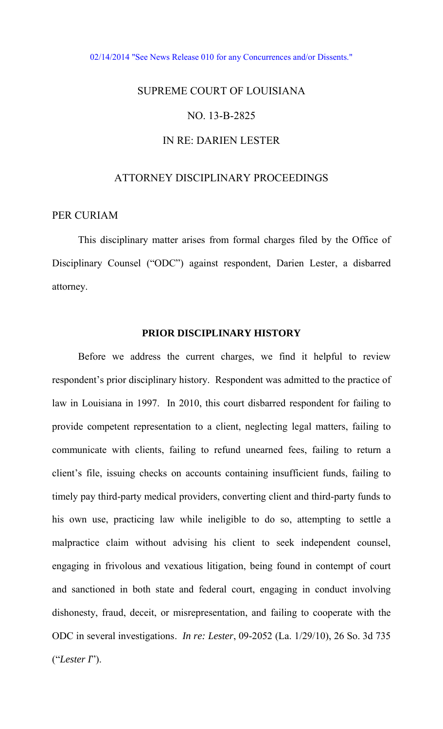#### [02/14/2014 "See News Release 010 for any Concurrences and/or Dissents."](http://www.lasc.org/Actions?p=2014-010)

## SUPREME COURT OF LOUISIANA

### NO. 13-B-2825

# IN RE: DARIEN LESTER

## ATTORNEY DISCIPLINARY PROCEEDINGS

## PER CURIAM

 This disciplinary matter arises from formal charges filed by the Office of Disciplinary Counsel ("ODC") against respondent, Darien Lester, a disbarred attorney.

## **PRIOR DISCIPLINARY HISTORY**

 Before we address the current charges, we find it helpful to review respondent's prior disciplinary history. Respondent was admitted to the practice of law in Louisiana in 1997. In 2010, this court disbarred respondent for failing to provide competent representation to a client, neglecting legal matters, failing to communicate with clients, failing to refund unearned fees, failing to return a client's file, issuing checks on accounts containing insufficient funds, failing to timely pay third-party medical providers, converting client and third-party funds to his own use, practicing law while ineligible to do so, attempting to settle a malpractice claim without advising his client to seek independent counsel, engaging in frivolous and vexatious litigation, being found in contempt of court and sanctioned in both state and federal court, engaging in conduct involving dishonesty, fraud, deceit, or misrepresentation, and failing to cooperate with the ODC in several investigations. *In re: Lester*, 09-2052 (La. 1/29/10), 26 So. 3d 735 ("*Lester I*").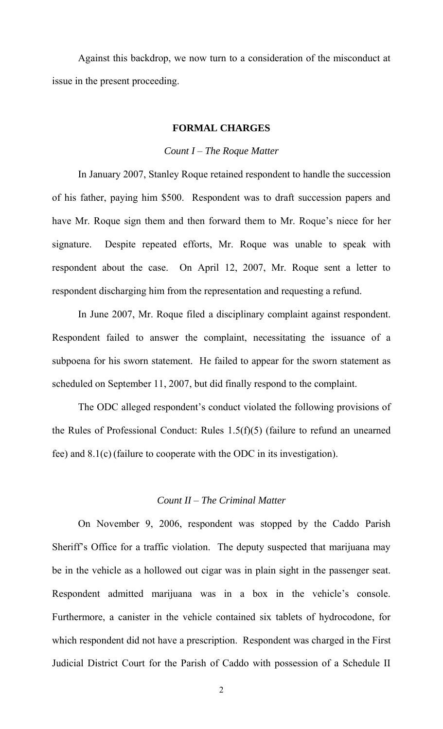Against this backdrop, we now turn to a consideration of the misconduct at issue in the present proceeding.

## **FORMAL CHARGES**

#### *Count I – The Roque Matter*

In January 2007, Stanley Roque retained respondent to handle the succession of his father, paying him \$500. Respondent was to draft succession papers and have Mr. Roque sign them and then forward them to Mr. Roque's niece for her signature. Despite repeated efforts, Mr. Roque was unable to speak with respondent about the case. On April 12, 2007, Mr. Roque sent a letter to respondent discharging him from the representation and requesting a refund.

In June 2007, Mr. Roque filed a disciplinary complaint against respondent. Respondent failed to answer the complaint, necessitating the issuance of a subpoena for his sworn statement. He failed to appear for the sworn statement as scheduled on September 11, 2007, but did finally respond to the complaint.

The ODC alleged respondent's conduct violated the following provisions of the Rules of Professional Conduct: Rules 1.5(f)(5) (failure to refund an unearned fee) and 8.1(c) (failure to cooperate with the ODC in its investigation).

#### *Count II – The Criminal Matter*

 On November 9, 2006, respondent was stopped by the Caddo Parish Sheriff's Office for a traffic violation. The deputy suspected that marijuana may be in the vehicle as a hollowed out cigar was in plain sight in the passenger seat. Respondent admitted marijuana was in a box in the vehicle's console. Furthermore, a canister in the vehicle contained six tablets of hydrocodone, for which respondent did not have a prescription. Respondent was charged in the First Judicial District Court for the Parish of Caddo with possession of a Schedule II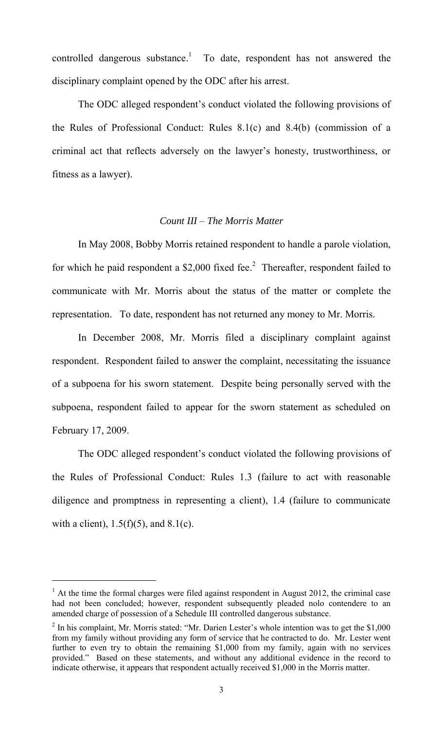controlled dangerous substance.<sup>1</sup> To date, respondent has not answered the disciplinary complaint opened by the ODC after his arrest.

The ODC alleged respondent's conduct violated the following provisions of the Rules of Professional Conduct: Rules 8.1(c) and 8.4(b) (commission of a criminal act that reflects adversely on the lawyer's honesty, trustworthiness, or fitness as a lawyer).

# *Count III – The Morris Matter*

In May 2008, Bobby Morris retained respondent to handle a parole violation, for which he paid respondent a  $$2,000$  fixed fee.<sup>2</sup> Thereafter, respondent failed to communicate with Mr. Morris about the status of the matter or complete the representation. To date, respondent has not returned any money to Mr. Morris.

In December 2008, Mr. Morris filed a disciplinary complaint against respondent. Respondent failed to answer the complaint, necessitating the issuance of a subpoena for his sworn statement. Despite being personally served with the subpoena, respondent failed to appear for the sworn statement as scheduled on February 17, 2009.

The ODC alleged respondent's conduct violated the following provisions of the Rules of Professional Conduct: Rules 1.3 (failure to act with reasonable diligence and promptness in representing a client), 1.4 (failure to communicate with a client),  $1.5(f)(5)$ , and  $8.1(c)$ .

 $\overline{a}$ 

 $<sup>1</sup>$  At the time the formal charges were filed against respondent in August 2012, the criminal case</sup> had not been concluded; however, respondent subsequently pleaded nolo contendere to an amended charge of possession of a Schedule III controlled dangerous substance.

 $2$  In his complaint, Mr. Morris stated: "Mr. Darien Lester's whole intention was to get the \$1,000 from my family without providing any form of service that he contracted to do. Mr. Lester went further to even try to obtain the remaining \$1,000 from my family, again with no services provided." Based on these statements, and without any additional evidence in the record to indicate otherwise, it appears that respondent actually received \$1,000 in the Morris matter.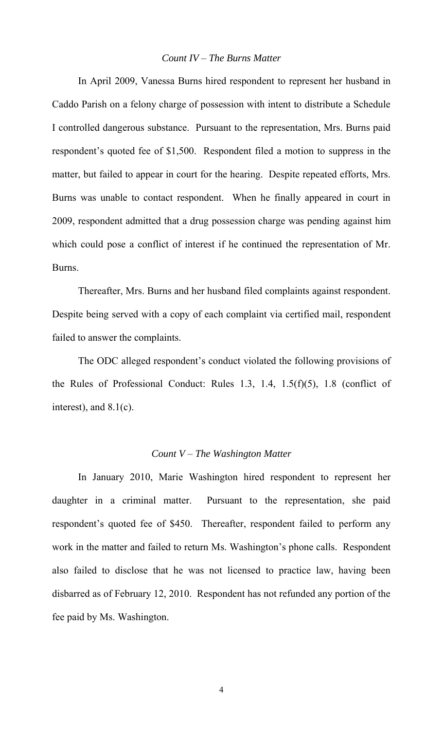## *Count IV – The Burns Matter*

 In April 2009, Vanessa Burns hired respondent to represent her husband in Caddo Parish on a felony charge of possession with intent to distribute a Schedule I controlled dangerous substance. Pursuant to the representation, Mrs. Burns paid respondent's quoted fee of \$1,500. Respondent filed a motion to suppress in the matter, but failed to appear in court for the hearing. Despite repeated efforts, Mrs. Burns was unable to contact respondent. When he finally appeared in court in 2009, respondent admitted that a drug possession charge was pending against him which could pose a conflict of interest if he continued the representation of Mr. Burns.

 Thereafter, Mrs. Burns and her husband filed complaints against respondent. Despite being served with a copy of each complaint via certified mail, respondent failed to answer the complaints.

The ODC alleged respondent's conduct violated the following provisions of the Rules of Professional Conduct: Rules 1.3, 1.4, 1.5( $f$ )(5), 1.8 (conflict of interest), and 8.1(c).

## *Count V – The Washington Matter*

 In January 2010, Marie Washington hired respondent to represent her daughter in a criminal matter. Pursuant to the representation, she paid respondent's quoted fee of \$450. Thereafter, respondent failed to perform any work in the matter and failed to return Ms. Washington's phone calls. Respondent also failed to disclose that he was not licensed to practice law, having been disbarred as of February 12, 2010. Respondent has not refunded any portion of the fee paid by Ms. Washington.

4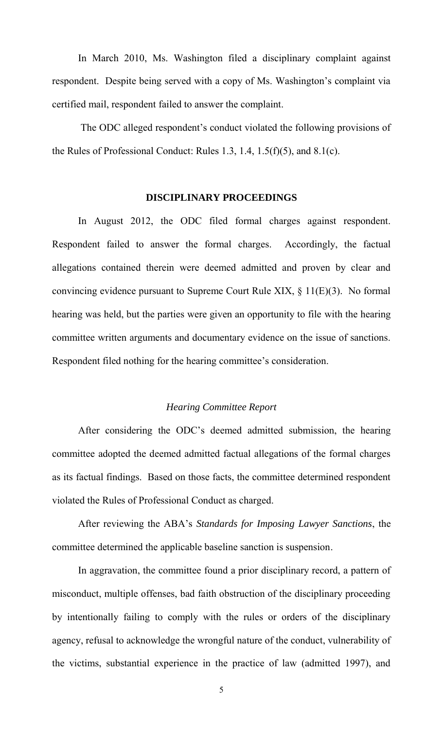In March 2010, Ms. Washington filed a disciplinary complaint against respondent. Despite being served with a copy of Ms. Washington's complaint via certified mail, respondent failed to answer the complaint.

 The ODC alleged respondent's conduct violated the following provisions of the Rules of Professional Conduct: Rules 1.3, 1.4, 1.5(f)(5), and 8.1(c).

## **DISCIPLINARY PROCEEDINGS**

 In August 2012, the ODC filed formal charges against respondent. Respondent failed to answer the formal charges. Accordingly, the factual allegations contained therein were deemed admitted and proven by clear and convincing evidence pursuant to Supreme Court Rule XIX, § 11(E)(3). No formal hearing was held, but the parties were given an opportunity to file with the hearing committee written arguments and documentary evidence on the issue of sanctions. Respondent filed nothing for the hearing committee's consideration.

## *Hearing Committee Report*

After considering the ODC's deemed admitted submission, the hearing committee adopted the deemed admitted factual allegations of the formal charges as its factual findings. Based on those facts, the committee determined respondent violated the Rules of Professional Conduct as charged.

 After reviewing the ABA's *Standards for Imposing Lawyer Sanctions*, the committee determined the applicable baseline sanction is suspension.

In aggravation, the committee found a prior disciplinary record, a pattern of misconduct, multiple offenses, bad faith obstruction of the disciplinary proceeding by intentionally failing to comply with the rules or orders of the disciplinary agency, refusal to acknowledge the wrongful nature of the conduct, vulnerability of the victims, substantial experience in the practice of law (admitted 1997), and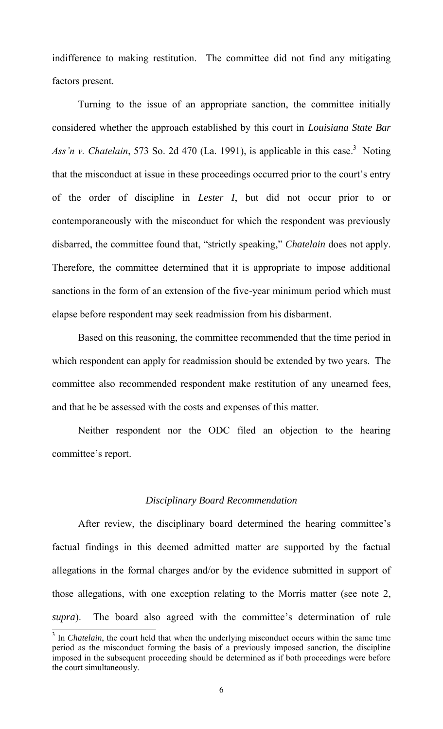indifference to making restitution. The committee did not find any mitigating factors present.

 Turning to the issue of an appropriate sanction, the committee initially considered whether the approach established by this court in *Louisiana State Bar*  Ass'n v. Chatelain, 573 So. 2d 470 (La. 1991), is applicable in this case.<sup>3</sup> Noting that the misconduct at issue in these proceedings occurred prior to the court's entry of the order of discipline in *Lester I*, but did not occur prior to or contemporaneously with the misconduct for which the respondent was previously disbarred, the committee found that, "strictly speaking," *Chatelain* does not apply. Therefore, the committee determined that it is appropriate to impose additional sanctions in the form of an extension of the five-year minimum period which must elapse before respondent may seek readmission from his disbarment.

 Based on this reasoning, the committee recommended that the time period in which respondent can apply for readmission should be extended by two years. The committee also recommended respondent make restitution of any unearned fees, and that he be assessed with the costs and expenses of this matter.

 Neither respondent nor the ODC filed an objection to the hearing committee's report.

## *Disciplinary Board Recommendation*

 After review, the disciplinary board determined the hearing committee's factual findings in this deemed admitted matter are supported by the factual allegations in the formal charges and/or by the evidence submitted in support of those allegations, with one exception relating to the Morris matter (see note 2, *supra*). The board also agreed with the committee's determination of rule

 $\overline{a}$ 

<sup>&</sup>lt;sup>3</sup> In *Chatelain*, the court held that when the underlying misconduct occurs within the same time period as the misconduct forming the basis of a previously imposed sanction, the discipline imposed in the subsequent proceeding should be determined as if both proceedings were before the court simultaneously.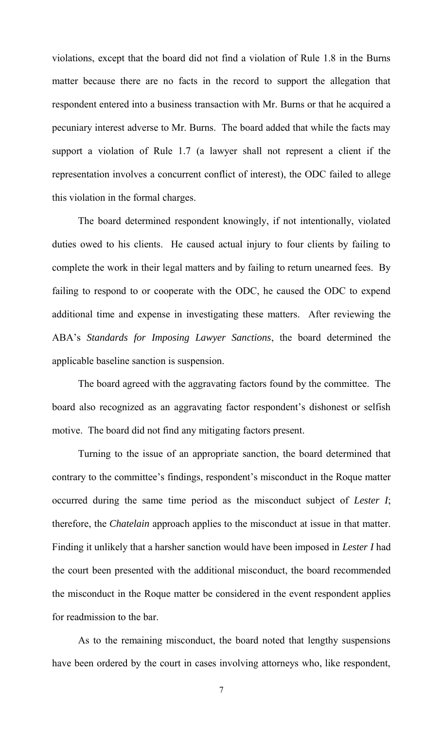violations, except that the board did not find a violation of Rule 1.8 in the Burns matter because there are no facts in the record to support the allegation that respondent entered into a business transaction with Mr. Burns or that he acquired a pecuniary interest adverse to Mr. Burns. The board added that while the facts may support a violation of Rule 1.7 (a lawyer shall not represent a client if the representation involves a concurrent conflict of interest), the ODC failed to allege this violation in the formal charges.

 The board determined respondent knowingly, if not intentionally, violated duties owed to his clients. He caused actual injury to four clients by failing to complete the work in their legal matters and by failing to return unearned fees. By failing to respond to or cooperate with the ODC, he caused the ODC to expend additional time and expense in investigating these matters. After reviewing the ABA's *Standards for Imposing Lawyer Sanctions*, the board determined the applicable baseline sanction is suspension.

The board agreed with the aggravating factors found by the committee. The board also recognized as an aggravating factor respondent's dishonest or selfish motive. The board did not find any mitigating factors present.

Turning to the issue of an appropriate sanction, the board determined that contrary to the committee's findings, respondent's misconduct in the Roque matter occurred during the same time period as the misconduct subject of *Lester I*; therefore, the *Chatelain* approach applies to the misconduct at issue in that matter. Finding it unlikely that a harsher sanction would have been imposed in *Lester I* had the court been presented with the additional misconduct, the board recommended the misconduct in the Roque matter be considered in the event respondent applies for readmission to the bar.

 As to the remaining misconduct, the board noted that lengthy suspensions have been ordered by the court in cases involving attorneys who, like respondent,

7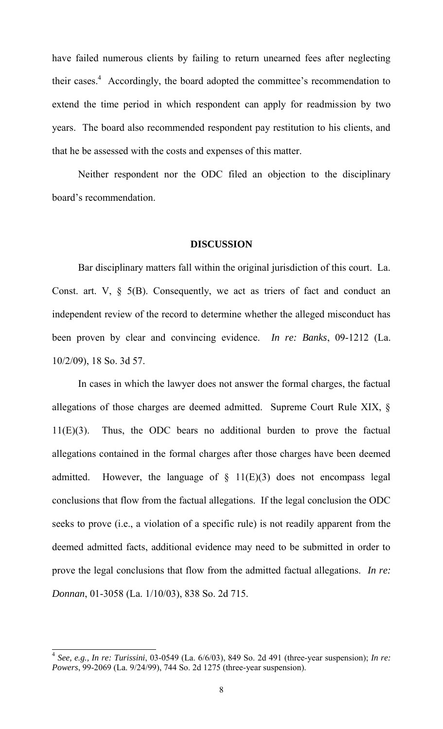have failed numerous clients by failing to return unearned fees after neglecting their cases. $4$  Accordingly, the board adopted the committee's recommendation to extend the time period in which respondent can apply for readmission by two years. The board also recommended respondent pay restitution to his clients, and that he be assessed with the costs and expenses of this matter.

 Neither respondent nor the ODC filed an objection to the disciplinary board's recommendation.

#### **DISCUSSION**

Bar disciplinary matters fall within the original jurisdiction of this court. La. Const. art. V,  $\S$  5(B). Consequently, we act as triers of fact and conduct an independent review of the record to determine whether the alleged misconduct has been proven by clear and convincing evidence. *In re: Banks*, 09-1212 (La. 10/2/09), 18 So. 3d 57.

In cases in which the lawyer does not answer the formal charges, the factual allegations of those charges are deemed admitted. Supreme Court Rule XIX, § 11(E)(3). Thus, the ODC bears no additional burden to prove the factual allegations contained in the formal charges after those charges have been deemed admitted. However, the language of  $\S$  11(E)(3) does not encompass legal conclusions that flow from the factual allegations. If the legal conclusion the ODC seeks to prove (i.e., a violation of a specific rule) is not readily apparent from the deemed admitted facts, additional evidence may need to be submitted in order to prove the legal conclusions that flow from the admitted factual allegations. *In re: Donnan*, 01-3058 (La. 1/10/03), 838 So. 2d 715.

 $\overline{a}$ 

<sup>4</sup> *See, e.g., In re: Turissini*, 03-0549 (La. 6/6/03), 849 So. 2d 491 (three-year suspension); *In re: Powers*, 99-2069 (La. 9/24/99), 744 So. 2d 1275 (three-year suspension).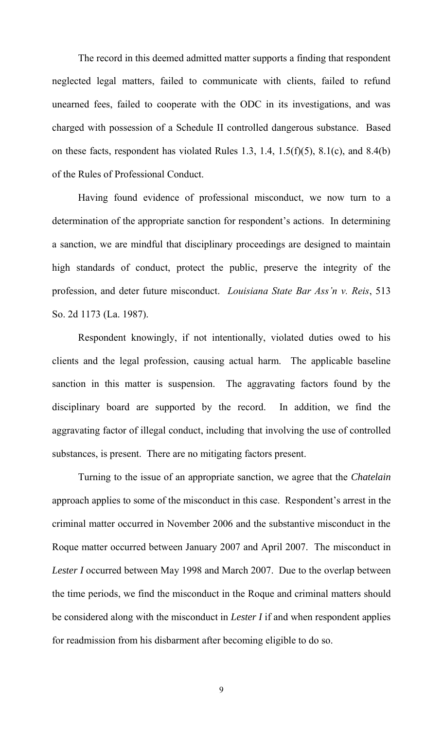The record in this deemed admitted matter supports a finding that respondent neglected legal matters, failed to communicate with clients, failed to refund unearned fees, failed to cooperate with the ODC in its investigations, and was charged with possession of a Schedule II controlled dangerous substance. Based on these facts, respondent has violated Rules 1.3, 1.4, 1.5(f)(5), 8.1(c), and 8.4(b) of the Rules of Professional Conduct.

Having found evidence of professional misconduct, we now turn to a determination of the appropriate sanction for respondent's actions. In determining a sanction, we are mindful that disciplinary proceedings are designed to maintain high standards of conduct, protect the public, preserve the integrity of the profession, and deter future misconduct. *Louisiana State Bar Ass'n v. Reis*, 513 So. 2d 1173 (La. 1987).

 Respondent knowingly, if not intentionally, violated duties owed to his clients and the legal profession, causing actual harm. The applicable baseline sanction in this matter is suspension. The aggravating factors found by the disciplinary board are supported by the record. In addition, we find the aggravating factor of illegal conduct, including that involving the use of controlled substances, is present. There are no mitigating factors present.

Turning to the issue of an appropriate sanction, we agree that the *Chatelain* approach applies to some of the misconduct in this case. Respondent's arrest in the criminal matter occurred in November 2006 and the substantive misconduct in the Roque matter occurred between January 2007 and April 2007. The misconduct in *Lester I* occurred between May 1998 and March 2007. Due to the overlap between the time periods, we find the misconduct in the Roque and criminal matters should be considered along with the misconduct in *Lester I* if and when respondent applies for readmission from his disbarment after becoming eligible to do so.